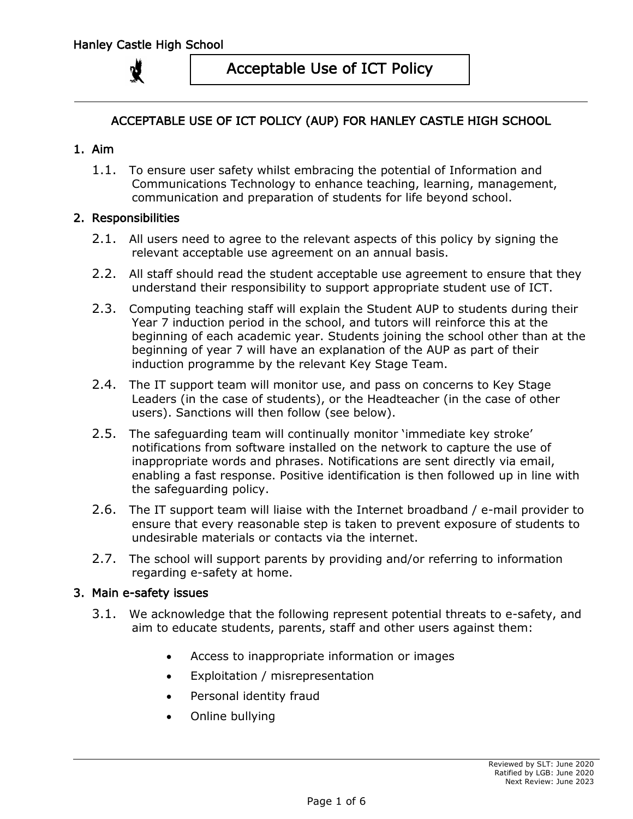

## ACCEPTABLE USE OF ICT POLICY (AUP) FOR HANLEY CASTLE HIGH SCHOOL

### 1. Aim

1.1. To ensure user safety whilst embracing the potential of Information and Communications Technology to enhance teaching, learning, management, communication and preparation of students for life beyond school.

### 2. Responsibilities

- 2.1. All users need to agree to the relevant aspects of this policy by signing the relevant acceptable use agreement on an annual basis.
- 2.2. All staff should read the student acceptable use agreement to ensure that they understand their responsibility to support appropriate student use of ICT.
- 2.3. Computing teaching staff will explain the Student AUP to students during their Year 7 induction period in the school, and tutors will reinforce this at the beginning of each academic year. Students joining the school other than at the beginning of year 7 will have an explanation of the AUP as part of their induction programme by the relevant Key Stage Team.
- 2.4. The IT support team will monitor use, and pass on concerns to Key Stage Leaders (in the case of students), or the Headteacher (in the case of other users). Sanctions will then follow (see below).
- 2.5. The safeguarding team will continually monitor 'immediate key stroke' notifications from software installed on the network to capture the use of inappropriate words and phrases. Notifications are sent directly via email, enabling a fast response. Positive identification is then followed up in line with the safeguarding policy.
- 2.6. The IT support team will liaise with the Internet broadband / e-mail provider to ensure that every reasonable step is taken to prevent exposure of students to undesirable materials or contacts via the internet.
- 2.7. The school will support parents by providing and/or referring to information regarding e-safety at home.

#### 3. Main e-safety issues

- 3.1. We acknowledge that the following represent potential threats to e-safety, and aim to educate students, parents, staff and other users against them:
	- Access to inappropriate information or images
	- Exploitation / misrepresentation
	- Personal identity fraud
	- Online bullying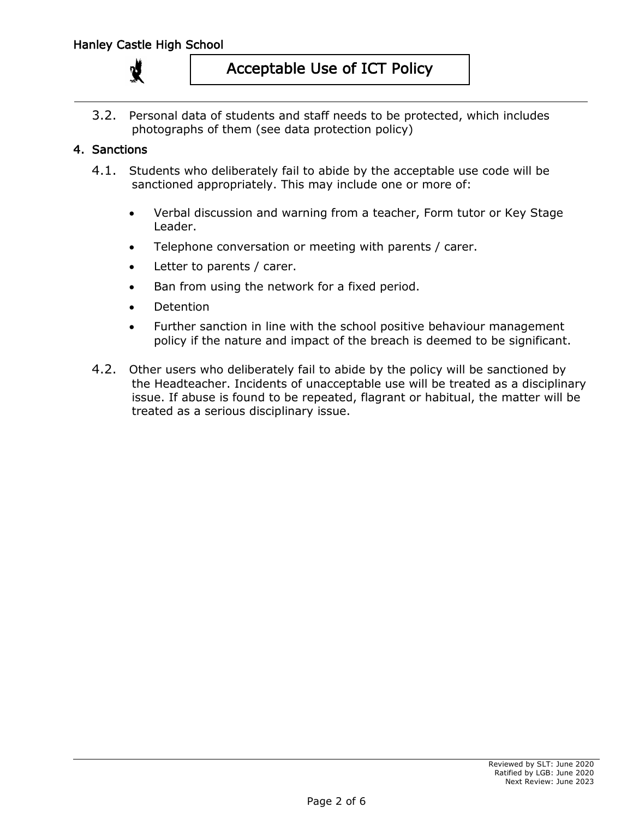

3.2. Personal data of students and staff needs to be protected, which includes photographs of them (see data protection policy)

## 4. Sanctions

- 4.1. Students who deliberately fail to abide by the acceptable use code will be sanctioned appropriately. This may include one or more of:
	- Verbal discussion and warning from a teacher, Form tutor or Key Stage Leader.
	- Telephone conversation or meeting with parents / carer.
	- Letter to parents / carer.
	- Ban from using the network for a fixed period.
	- **Detention**
	- Further sanction in line with the school positive behaviour management policy if the nature and impact of the breach is deemed to be significant.
- 4.2. Other users who deliberately fail to abide by the policy will be sanctioned by the Headteacher. Incidents of unacceptable use will be treated as a disciplinary issue. If abuse is found to be repeated, flagrant or habitual, the matter will be treated as a serious disciplinary issue.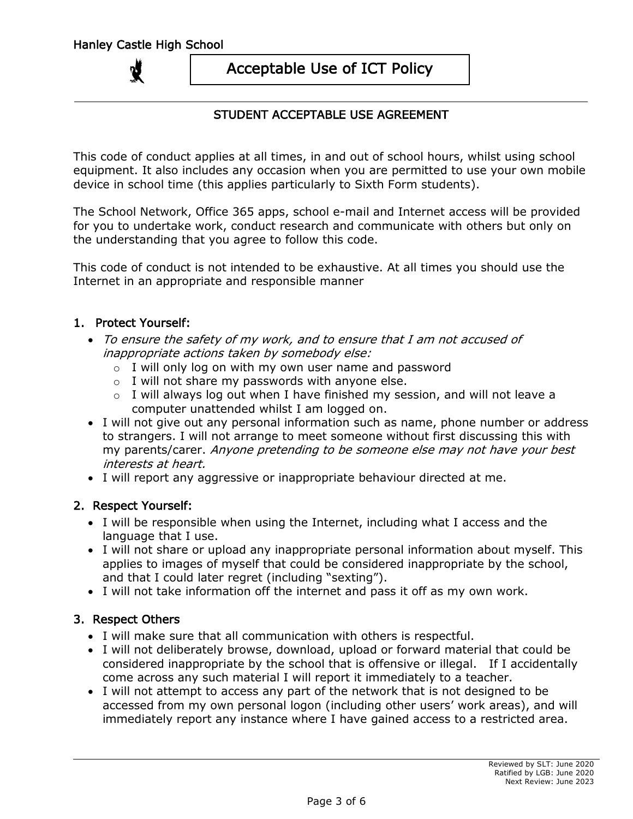## STUDENT ACCEPTABLE USE AGREEMENT

This code of conduct applies at all times, in and out of school hours, whilst using school equipment. It also includes any occasion when you are permitted to use your own mobile device in school time (this applies particularly to Sixth Form students).

The School Network, Office 365 apps, school e-mail and Internet access will be provided for you to undertake work, conduct research and communicate with others but only on the understanding that you agree to follow this code.

This code of conduct is not intended to be exhaustive. At all times you should use the Internet in an appropriate and responsible manner

### 1. Protect Yourself:

- To ensure the safety of my work, and to ensure that I am not accused of inappropriate actions taken by somebody else:
	- $\circ$  I will only log on with my own user name and password
	- $\circ$  I will not share my passwords with anyone else.
	- $\circ$  I will always log out when I have finished my session, and will not leave a computer unattended whilst I am logged on.
- I will not give out any personal information such as name, phone number or address to strangers. I will not arrange to meet someone without first discussing this with my parents/carer. Anyone pretending to be someone else may not have your best interests at heart.
- I will report any aggressive or inappropriate behaviour directed at me.

### 2. Respect Yourself:

- I will be responsible when using the Internet, including what I access and the language that I use.
- I will not share or upload any inappropriate personal information about myself. This applies to images of myself that could be considered inappropriate by the school, and that I could later regret (including "sexting").
- I will not take information off the internet and pass it off as my own work.

### 3. Respect Others

- I will make sure that all communication with others is respectful.
- I will not deliberately browse, download, upload or forward material that could be considered inappropriate by the school that is offensive or illegal. If I accidentally come across any such material I will report it immediately to a teacher.
- I will not attempt to access any part of the network that is not designed to be accessed from my own personal logon (including other users' work areas), and will immediately report any instance where I have gained access to a restricted area.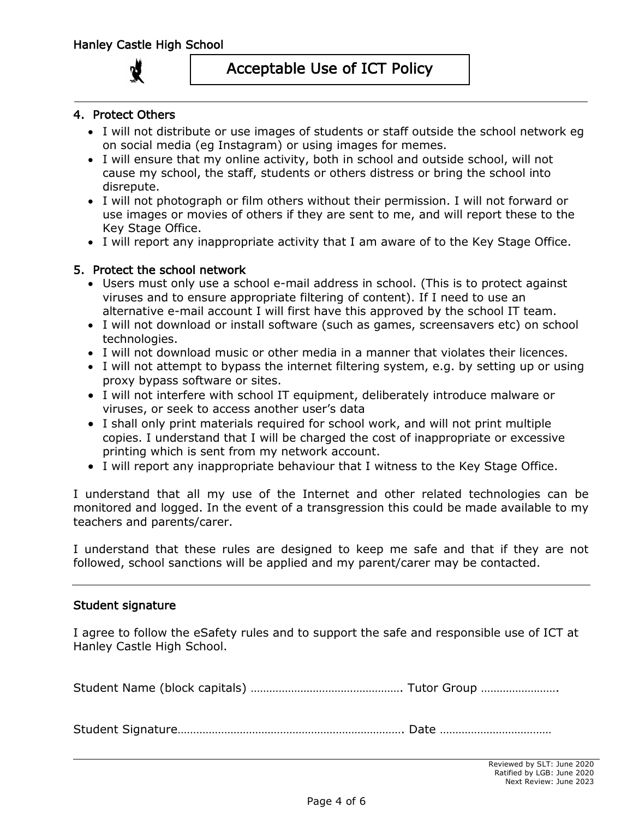### 4. Protect Others

- I will not distribute or use images of students or staff outside the school network eg on social media (eg Instagram) or using images for memes.
- I will ensure that my online activity, both in school and outside school, will not cause my school, the staff, students or others distress or bring the school into disrepute.
- I will not photograph or film others without their permission. I will not forward or use images or movies of others if they are sent to me, and will report these to the Key Stage Office.
- I will report any inappropriate activity that I am aware of to the Key Stage Office.

### 5. Protect the school network

- Users must only use a school e-mail address in school. (This is to protect against viruses and to ensure appropriate filtering of content). If I need to use an alternative e-mail account I will first have this approved by the school IT team.
- I will not download or install software (such as games, screensavers etc) on school technologies.
- I will not download music or other media in a manner that violates their licences.
- I will not attempt to bypass the internet filtering system, e.g. by setting up or using proxy bypass software or sites.
- I will not interfere with school IT equipment, deliberately introduce malware or viruses, or seek to access another user's data
- I shall only print materials required for school work, and will not print multiple copies. I understand that I will be charged the cost of inappropriate or excessive printing which is sent from my network account.
- I will report any inappropriate behaviour that I witness to the Key Stage Office.

I understand that all my use of the Internet and other related technologies can be monitored and logged. In the event of a transgression this could be made available to my teachers and parents/carer.

I understand that these rules are designed to keep me safe and that if they are not followed, school sanctions will be applied and my parent/carer may be contacted.

#### Student signature

I agree to follow the eSafety rules and to support the safe and responsible use of ICT at Hanley Castle High School.

Student Name (block capitals) …………………………………………. Tutor Group …………………….

Student Signature………………………………………………………………. Date ………………………………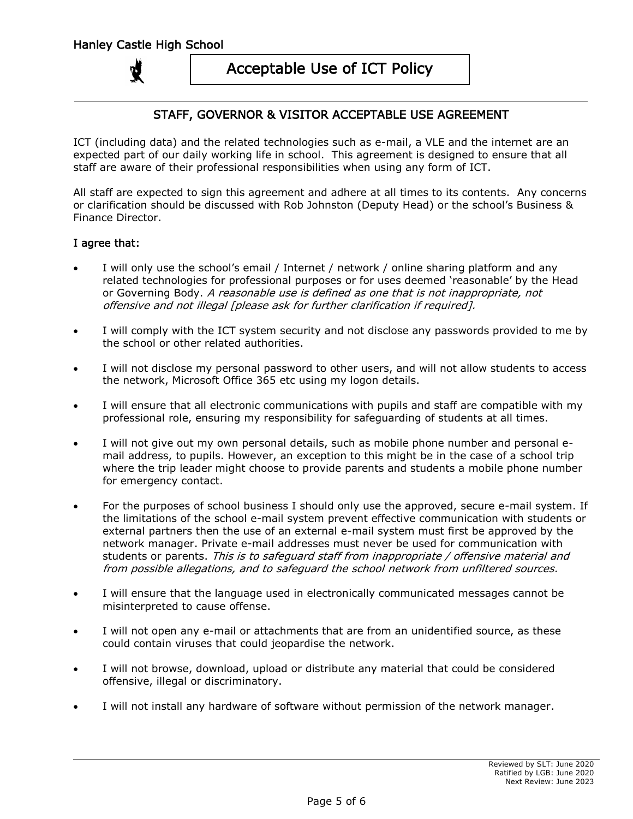### STAFF, GOVERNOR & VISITOR ACCEPTABLE USE AGREEMENT

ICT (including data) and the related technologies such as e-mail, a VLE and the internet are an expected part of our daily working life in school. This agreement is designed to ensure that all staff are aware of their professional responsibilities when using any form of ICT.

All staff are expected to sign this agreement and adhere at all times to its contents. Any concerns or clarification should be discussed with Rob Johnston (Deputy Head) or the school's Business & Finance Director.

#### I agree that:

- I will only use the school's email / Internet / network / online sharing platform and any related technologies for professional purposes or for uses deemed 'reasonable' by the Head or Governing Body. A reasonable use is defined as one that is not inappropriate, not offensive and not illegal [please ask for further clarification if required].
- I will comply with the ICT system security and not disclose any passwords provided to me by the school or other related authorities.
- I will not disclose my personal password to other users, and will not allow students to access the network, Microsoft Office 365 etc using my logon details.
- I will ensure that all electronic communications with pupils and staff are compatible with my professional role, ensuring my responsibility for safeguarding of students at all times.
- I will not give out my own personal details, such as mobile phone number and personal email address, to pupils. However, an exception to this might be in the case of a school trip where the trip leader might choose to provide parents and students a mobile phone number for emergency contact.
- For the purposes of school business I should only use the approved, secure e-mail system. If the limitations of the school e-mail system prevent effective communication with students or external partners then the use of an external e-mail system must first be approved by the network manager. Private e-mail addresses must never be used for communication with students or parents. This is to safeguard staff from inappropriate / offensive material and from possible allegations, and to safeguard the school network from unfiltered sources.
- I will ensure that the language used in electronically communicated messages cannot be misinterpreted to cause offense.
- I will not open any e-mail or attachments that are from an unidentified source, as these could contain viruses that could jeopardise the network.
- I will not browse, download, upload or distribute any material that could be considered offensive, illegal or discriminatory.
- I will not install any hardware of software without permission of the network manager.